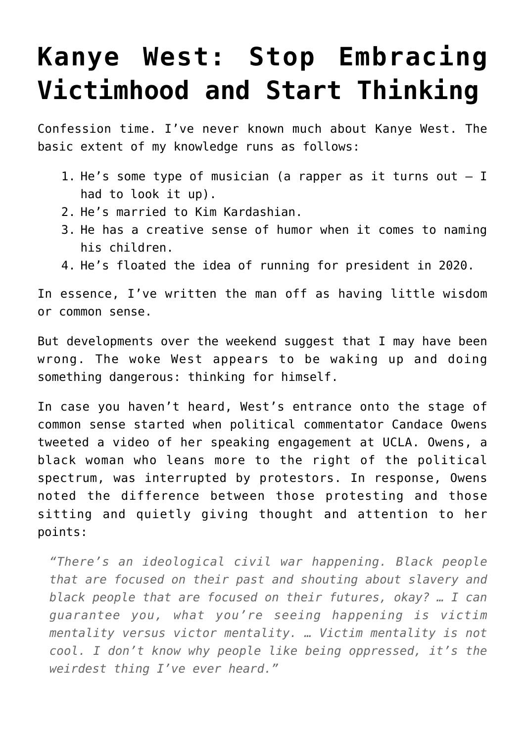## **[Kanye West: Stop Embracing](https://intellectualtakeout.org/2018/04/kanye-west-stop-embracing-victimhood-and-start-thinking/) [Victimhood and Start Thinking](https://intellectualtakeout.org/2018/04/kanye-west-stop-embracing-victimhood-and-start-thinking/)**

Confession time. I've never known much about Kanye West. The basic extent of my knowledge runs as follows:

- 1. He's some type of musician (a rapper as it turns out  $-$  I had to look it up).
- 2. He's married to Kim Kardashian.
- 3. He has a creative sense of humor when it comes to naming his children.
- 4. He's floated the idea of running for president in 2020.

In essence, I've written the man off as having little wisdom or common sense.

But developments over the weekend suggest that I may have been wrong. The woke West appears to be waking up and doing something dangerous: thinking for himself.

In case you haven't heard, West's entrance onto the stage of common sense started when political commentator Candace Owens tweeted a video of her speaking engagement at UCLA. Owens, a black woman who leans more to the right of the political spectrum, was interrupted by protestors. In response, Owens noted the difference between those protesting and those sitting and quietly giving thought and attention to her points:

*"There's an ideological civil war happening. Black people that are focused on their past and shouting about slavery and black people that are focused on their futures, okay? … I can guarantee you, what you're seeing happening is victim mentality versus victor mentality. … Victim mentality is not cool. I don't know why people like being oppressed, it's the weirdest thing I've ever heard."*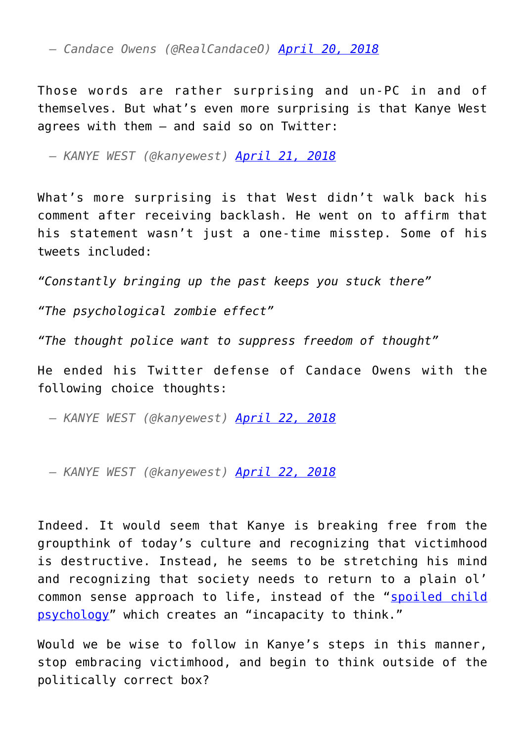*— Candace Owens (@RealCandaceO) [April 20, 2018](https://twitter.com/RealCandaceO/status/987450257159077888?ref_src=twsrc%5Etfw)*

Those words are rather surprising and un-PC in and of themselves. But what's even more surprising is that Kanye West agrees with them – and said so on Twitter:

*— KANYE WEST (@kanyewest) [April 21, 2018](https://twitter.com/kanyewest/status/987696355341553665?ref_src=twsrc%5Etfw)*

What's more surprising is that West didn't walk back his comment after receiving backlash. He went on to affirm that his statement wasn't just a one-time misstep. Some of his tweets included:

*"Constantly bringing up the past keeps you stuck there"*

*"The psychological zombie effect"*

*"The thought police want to suppress freedom of thought"*

He ended his Twitter defense of Candace Owens with the following choice thoughts:

*— KANYE WEST (@kanyewest) [April 22, 2018](https://twitter.com/kanyewest/status/988128539231711237?ref_src=twsrc%5Etfw)*

*— KANYE WEST (@kanyewest) [April 22, 2018](https://twitter.com/kanyewest/status/988128753430638592?ref_src=twsrc%5Etfw)*

Indeed. It would seem that Kanye is breaking free from the groupthink of today's culture and recognizing that victimhood is destructive. Instead, he seems to be stretching his mind and recognizing that society needs to return to a plain ol' common sense approach to life, instead of the "[spoiled child](https://portalconservador.com/livros/Richard-Weaver-Ideas-Have-Consequences.pdf) [psychology"](https://portalconservador.com/livros/Richard-Weaver-Ideas-Have-Consequences.pdf) which creates an "incapacity to think."

Would we be wise to follow in Kanye's steps in this manner, stop embracing victimhood, and begin to think outside of the politically correct box?